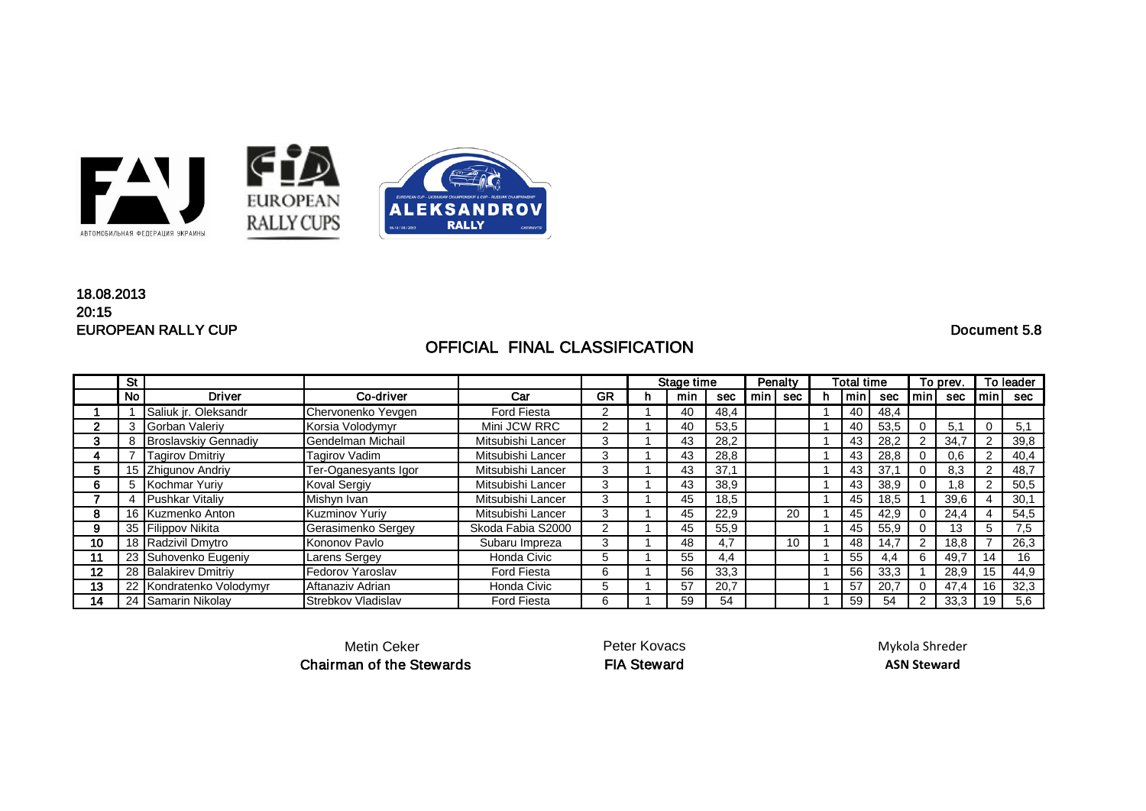

## EUROPEAN RALLY CUP Document 5.8 18.08.2013 20:15

## OFFICIAL FINAL CLASSIFICATION

|    | <b>St</b> |                             |                      |                    |    |   | Penalty<br>Stage time |            |     | Total time |  |     | To prev. |     | To leader |     |      |
|----|-----------|-----------------------------|----------------------|--------------------|----|---|-----------------------|------------|-----|------------|--|-----|----------|-----|-----------|-----|------|
|    | No        | <b>Driver</b>               | Co-driver            | Car                | GR | n | min                   | <b>sec</b> | min | sec        |  | min | sec      | min | sec       | min | sec  |
|    |           | Saliuk jr. Oleksandr        | Chervonenko Yevgen   | <b>Ford Fiesta</b> | ົ  |   | 40                    | 48,4       |     |            |  | 40  | 48,4     |     |           |     |      |
|    |           | Gorban Valeriy              | Korsia Volodymyr     | Mini JCW RRC       | າ  |   | 40                    | 53,5       |     |            |  | 40  | 53,5     |     | 5.1       |     | 5,1  |
|    |           | <b>Broslavskiy Gennadiy</b> | Gendelman Michail    | Mitsubishi Lancer  | 3  |   | 43                    | 28,2       |     |            |  | 43  | 28,2     |     | 34,7      |     | 39,8 |
| 4  |           | <b>Tagirov Dmitriy</b>      | <b>Tagirov Vadim</b> | Mitsubishi Lancer  | 3  |   | 43                    | 28,8       |     |            |  | 43  | 28,8     |     | 0,6       |     | 40,4 |
| 5  |           | 15 Zhigunov Andriy          | Ter-Oganesyants Igor | Mitsubishi Lancer  | 3  |   | 43                    | 37.7       |     |            |  | 43  | 37.7     |     | 8,3       |     | 48,7 |
| 6  |           | 5 Kochmar Yuriy             | Koval Sergiy         | Mitsubishi Lancer  | 3  |   | 43                    | 38,9       |     |            |  | 43  | 38,9     |     | 8,        |     | 50,5 |
|    |           | Pushkar Vitaliy             | Mishyn Ivan          | Mitsubishi Lancer  | 3  |   | 45                    | 18,5       |     |            |  | 45  | 18,5     |     | 39,6      |     | 30,1 |
| 8  |           | 16 Kuzmenko Anton           | Kuzminov Yuriy       | Mitsubishi Lancer  | 3  |   | 45                    | 22,9       |     | 20         |  | 45  | 42,9     |     | 24,4      |     | 54,5 |
| 9  |           | 35 Filippov Nikita          | Gerasimenko Sergey   | Skoda Fabia S2000  | ົ  |   | 45                    | 55,9       |     |            |  | 45  | 55,9     |     | 13        | 5   | 7,5  |
| 10 |           | 18 Radzivil Dmytro          | Kononov Pavlo        | Subaru Impreza     | 3  |   | 48                    | 4,7        |     | 10         |  | 48  | 14.7     |     | 18,8      |     | 26,3 |
| 11 |           | 23 Suhovenko Eugeniy        | Larens Sergey        | Honda Civic        | 5  |   | 55                    | 4.4        |     |            |  | 55  | 4.4      | 6   | 49,7      | 14  | 16   |
| 12 |           | 28 Balakirev Dmitriy        | Fedorov Yaroslav     | <b>Ford Fiesta</b> | 6  |   | 56                    | 33,3       |     |            |  | 56  | 33,3     |     | 28,9      | 15  | 44,9 |
| 13 |           | 22 Kondratenko Volodymyr    | Aftanaziv Adrian     | Honda Civic        | :5 |   | 57                    | 20,7       |     |            |  | 57  | 20.7     |     | 47,4      | 16  | 32,3 |
| 14 |           | 24 Samarin Nikolay          | Strebkov Vladislav   | <b>Ford Fiesta</b> | 6  |   | 59                    | 54         |     |            |  | 59  | 54       |     | 33,3      | 19  | 5,6  |

Metin Ceker Chairman of the Stewards Peter Kovacs

Mykola Shreder **ASN Steward**

FIA Steward